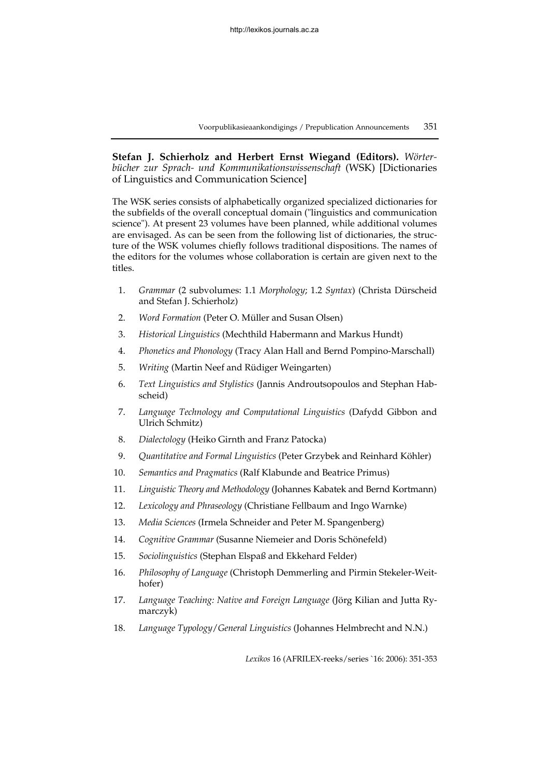**Stefan J. Schierholz and Herbert Ernst Wiegand (Editors).** *Wörterbücher zur Sprach- und Kommunikationswissenschaft* (WSK) [Dictionaries of Linguistics and Communication Science]

The WSK series consists of alphabetically organized specialized dictionaries for the subfields of the overall conceptual domain ("linguistics and communication science"). At present 23 volumes have been planned, while additional volumes are envisaged. As can be seen from the following list of dictionaries, the structure of the WSK volumes chiefly follows traditional dispositions. The names of the editors for the volumes whose collaboration is certain are given next to the titles.

- 1. *Grammar* (2 subvolumes: 1.1 *Morphology*; 1.2 *Syntax*) (Christa Dürscheid and Stefan J. Schierholz)
- 2. *Word Formation* (Peter O. Müller and Susan Olsen)
- 3. *Historical Linguistics* (Mechthild Habermann and Markus Hundt)
- 4. *Phonetics and Phonology* (Tracy Alan Hall and Bernd Pompino-Marschall)
- 5. *Writing* (Martin Neef and Rüdiger Weingarten)
- 6. *Text Linguistics and Stylistics* (Jannis Androutsopoulos and Stephan Habscheid)
- 7. *Language Technology and Computational Linguistics* (Dafydd Gibbon and Ulrich Schmitz)
- 8. *Dialectology* (Heiko Girnth and Franz Patocka)
- 9. *Quantitative and Formal Linguistics* (Peter Grzybek and Reinhard Köhler)
- 10. *Semantics and Pragmatics* (Ralf Klabunde and Beatrice Primus)
- 11. *Linguistic Theory and Methodology* (Johannes Kabatek and Bernd Kortmann)
- 12. *Lexicology and Phraseology* (Christiane Fellbaum and Ingo Warnke)
- 13. *Media Sciences* (Irmela Schneider and Peter M. Spangenberg)
- 14. *Cognitive Grammar* (Susanne Niemeier and Doris Schönefeld)
- 15. *Sociolinguistics* (Stephan Elspaß and Ekkehard Felder)
- 16. *Philosophy of Language* (Christoph Demmerling and Pirmin Stekeler-Weithofer)
- 17. *Language Teaching: Native and Foreign Language* (Jörg Kilian and Jutta Rymarczyk)
- 18. *Language Typology*/*General Linguistics* (Johannes Helmbrecht and N.N.)

*Lexikos* 16 (AFRILEX-reeks/series `16: 2006): 351-353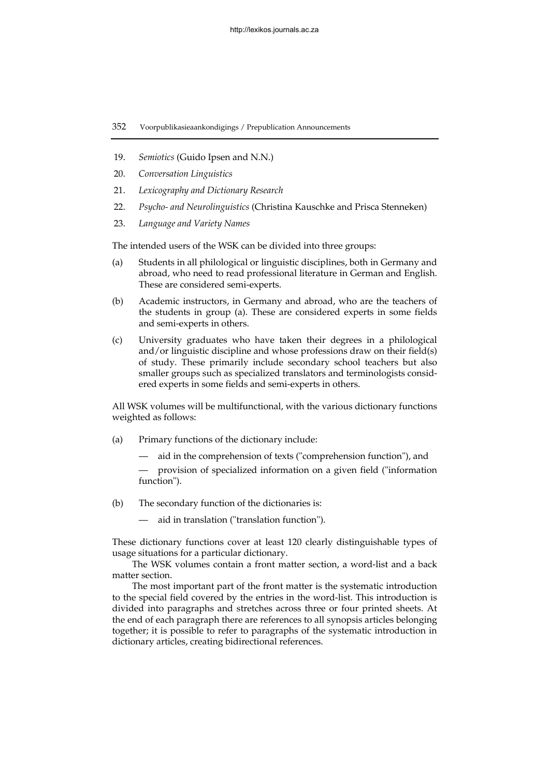- 19. *Semiotics* (Guido Ipsen and N.N.)
- 20. *Conversation Linguistics*
- 21. *Lexicography and Dictionary Research*
- 22. *Psycho- and Neurolinguistics* (Christina Kauschke and Prisca Stenneken)
- 23. *Language and Variety Names*

The intended users of the WSK can be divided into three groups:

- (a) Students in all philological or linguistic disciplines, both in Germany and abroad, who need to read professional literature in German and English. These are considered semi-experts.
- (b) Academic instructors, in Germany and abroad, who are the teachers of the students in group (a). These are considered experts in some fields and semi-experts in others.
- (c) University graduates who have taken their degrees in a philological and/or linguistic discipline and whose professions draw on their field(s) of study. These primarily include secondary school teachers but also smaller groups such as specialized translators and terminologists considered experts in some fields and semi-experts in others.

All WSK volumes will be multifunctional, with the various dictionary functions weighted as follows:

- (a) Primary functions of the dictionary include:
	- aid in the comprehension of texts ("comprehension function"), and

 — provision of specialized information on a given field ("information function").

- (b) The secondary function of the dictionaries is:
	- aid in translation ("translation function").

These dictionary functions cover at least 120 clearly distinguishable types of usage situations for a particular dictionary.

The WSK volumes contain a front matter section, a word-list and a back matter section.

The most important part of the front matter is the systematic introduction to the special field covered by the entries in the word-list. This introduction is divided into paragraphs and stretches across three or four printed sheets. At the end of each paragraph there are references to all synopsis articles belonging together; it is possible to refer to paragraphs of the systematic introduction in dictionary articles, creating bidirectional references.